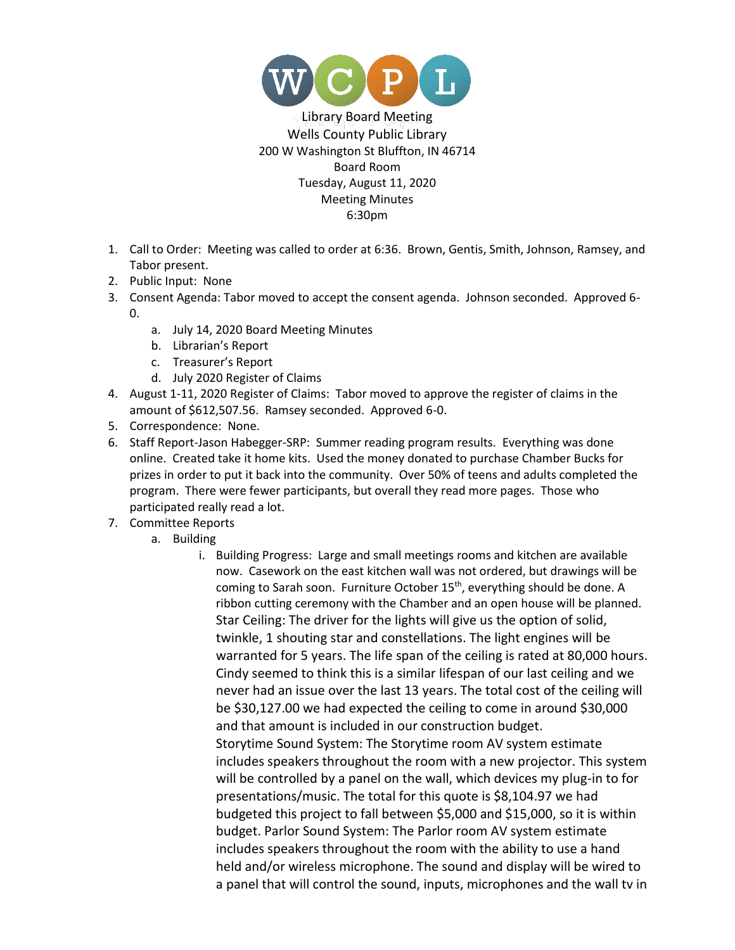

Library Board Meeting Wells County Public Library 200 W Washington St Bluffton, IN 46714 Board Room Tuesday, August 11, 2020 Meeting Minutes 6:30pm

- 1. Call to Order: Meeting was called to order at 6:36. Brown, Gentis, Smith, Johnson, Ramsey, and Tabor present.
- 2. Public Input: None
- 3. Consent Agenda: Tabor moved to accept the consent agenda. Johnson seconded. Approved 6-  $\Omega$ .
	- a. July 14, 2020 Board Meeting Minutes
	- b. Librarian's Report
	- c. Treasurer's Report
	- d. July 2020 Register of Claims
- 4. August 1-11, 2020 Register of Claims: Tabor moved to approve the register of claims in the amount of \$612,507.56. Ramsey seconded. Approved 6-0.
- 5. Correspondence: None.
- 6. Staff Report-Jason Habegger-SRP: Summer reading program results. Everything was done online. Created take it home kits. Used the money donated to purchase Chamber Bucks for prizes in order to put it back into the community. Over 50% of teens and adults completed the program. There were fewer participants, but overall they read more pages. Those who participated really read a lot.
- 7. Committee Reports
	- a. Building
		- i. Building Progress: Large and small meetings rooms and kitchen are available now. Casework on the east kitchen wall was not ordered, but drawings will be coming to Sarah soon. Furniture October 15<sup>th</sup>, everything should be done. A ribbon cutting ceremony with the Chamber and an open house will be planned. Star Ceiling: The driver for the lights will give us the option of solid, twinkle, 1 shouting star and constellations. The light engines will be warranted for 5 years. The life span of the ceiling is rated at 80,000 hours. Cindy seemed to think this is a similar lifespan of our last ceiling and we never had an issue over the last 13 years. The total cost of the ceiling will be \$30,127.00 we had expected the ceiling to come in around \$30,000 and that amount is included in our construction budget. Storytime Sound System: The Storytime room AV system estimate includes speakers throughout the room with a new projector. This system will be controlled by a panel on the wall, which devices my plug-in to for presentations/music. The total for this quote is \$8,104.97 we had budgeted this project to fall between \$5,000 and \$15,000, so it is within budget. Parlor Sound System: The Parlor room AV system estimate includes speakers throughout the room with the ability to use a hand held and/or wireless microphone. The sound and display will be wired to a panel that will control the sound, inputs, microphones and the wall tv in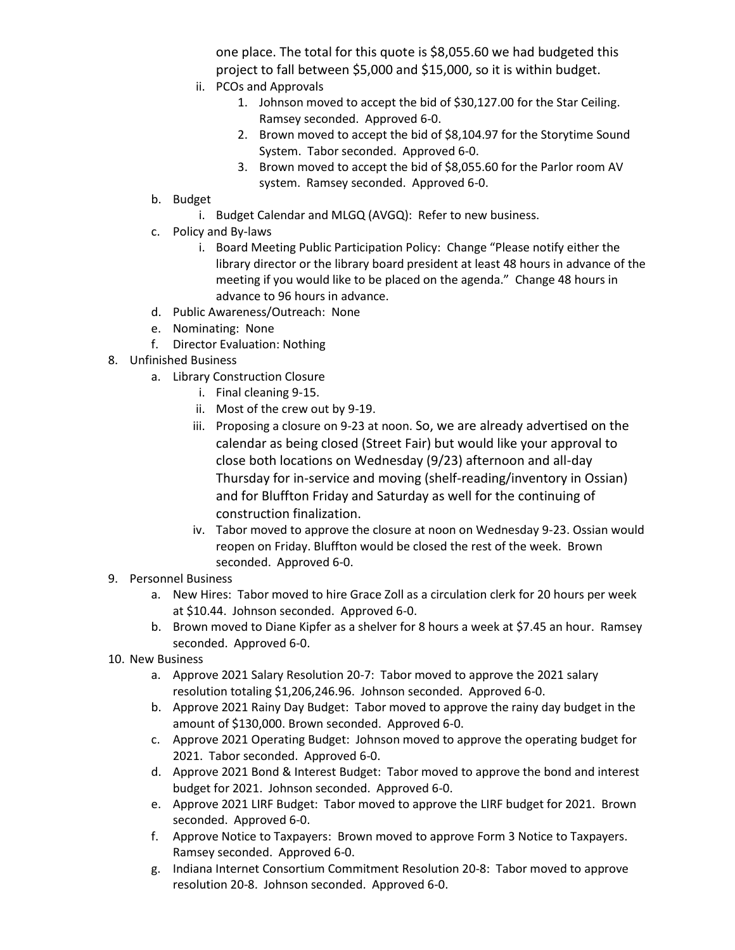one place. The total for this quote is \$8,055.60 we had budgeted this project to fall between \$5,000 and \$15,000, so it is within budget.

- ii. PCOs and Approvals
	- 1. Johnson moved to accept the bid of \$30,127.00 for the Star Ceiling. Ramsey seconded. Approved 6-0.
	- 2. Brown moved to accept the bid of \$8,104.97 for the Storytime Sound System. Tabor seconded. Approved 6-0.
	- 3. Brown moved to accept the bid of \$8,055.60 for the Parlor room AV system. Ramsey seconded. Approved 6-0.
- b. Budget
	- i. Budget Calendar and MLGQ (AVGQ): Refer to new business.
- c. Policy and By-laws
	- i. Board Meeting Public Participation Policy: Change "Please notify either the library director or the library board president at least 48 hours in advance of the meeting if you would like to be placed on the agenda." Change 48 hours in advance to 96 hours in advance.
- d. Public Awareness/Outreach: None
- e. Nominating: None
- f. Director Evaluation: Nothing
- 8. Unfinished Business
	- a. Library Construction Closure
		- i. Final cleaning 9-15.
		- ii. Most of the crew out by 9-19.
		- iii. Proposing a closure on 9-23 at noon. So, we are already advertised on the calendar as being closed (Street Fair) but would like your approval to close both locations on Wednesday (9/23) afternoon and all-day Thursday for in-service and moving (shelf-reading/inventory in Ossian) and for Bluffton Friday and Saturday as well for the continuing of construction finalization.
		- iv. Tabor moved to approve the closure at noon on Wednesday 9-23. Ossian would reopen on Friday. Bluffton would be closed the rest of the week. Brown seconded. Approved 6-0.

## 9. Personnel Business

- a. New Hires: Tabor moved to hire Grace Zoll as a circulation clerk for 20 hours per week at \$10.44. Johnson seconded. Approved 6-0.
- b. Brown moved to Diane Kipfer as a shelver for 8 hours a week at \$7.45 an hour. Ramsey seconded. Approved 6-0.
- 10. New Business
	- a. Approve 2021 Salary Resolution 20-7: Tabor moved to approve the 2021 salary resolution totaling \$1,206,246.96. Johnson seconded. Approved 6-0.
	- b. Approve 2021 Rainy Day Budget: Tabor moved to approve the rainy day budget in the amount of \$130,000. Brown seconded. Approved 6-0.
	- c. Approve 2021 Operating Budget: Johnson moved to approve the operating budget for 2021. Tabor seconded. Approved 6-0.
	- d. Approve 2021 Bond & Interest Budget: Tabor moved to approve the bond and interest budget for 2021. Johnson seconded. Approved 6-0.
	- e. Approve 2021 LIRF Budget: Tabor moved to approve the LIRF budget for 2021. Brown seconded. Approved 6-0.
	- f. Approve Notice to Taxpayers: Brown moved to approve Form 3 Notice to Taxpayers. Ramsey seconded. Approved 6-0.
	- g. Indiana Internet Consortium Commitment Resolution 20-8: Tabor moved to approve resolution 20-8. Johnson seconded. Approved 6-0.